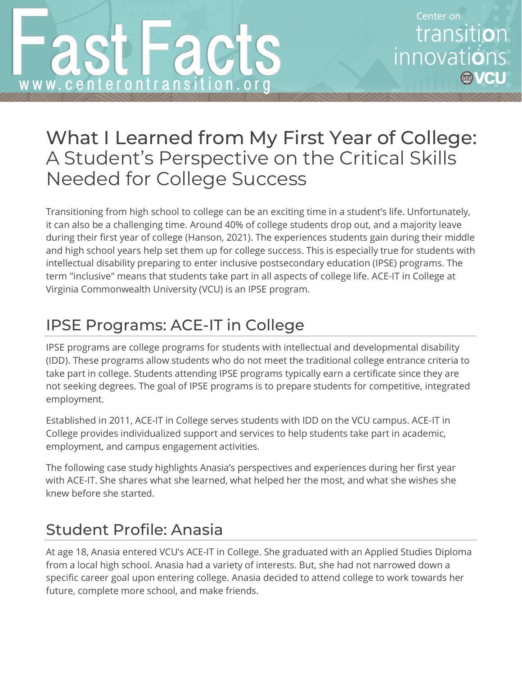# What I Learned from My First Year of College: A Student's Perspective on the Critical Skills Needed for College Success

 Transitioning from high school to college can be an exciting time in a student's life. Unfortunately, it can also be a challenging time. Around 40% of college students drop out, and a majority leave during their first year of college (Hanson, 2021). The experiences students gain during their middle and high school years help set them up for college success. This is especially true for students with intellectual disability preparing to enter inclusive postsecondary education (IPSE) programs. The term "inclusive" means that students take part in all aspects of college life. ACE-IT in College at Virginia Commonwealth University (VCU) is an IPSE program.

## IPSE Programs: ACE-IT in College

 IPSE programs are college programs for students with intellectual and developmental disability (IDD). These programs allow students who do not meet the traditional college entrance criteria to take part in college. Students attending IPSE programs typically earn a certificate since they are not seeking degrees. The goal of IPSE programs is to prepare students for competitive, integrated employment.

 Established in 2011, ACE-IT in College serves students with IDD on the VCU campus. ACE-IT in College provides individualized support and services to help students take part in academic, employment, and campus engagement activities.

 The following case study highlights Anasia's perspectives and experiences during her first year with ACE-IT. She shares what she learned, what helped her the most, and what she wishes she knew before she started.

## Student Profile: Anasia

 At age 18, Anasia entered VCU's ACE-IT in College. She graduated with an Applied Studies Diploma from a local high school. Anasia had a variety of interests. But, she had not narrowed down a specific career goal upon entering college. Anasia decided to attend college to work towards her future, complete more school, and make friends.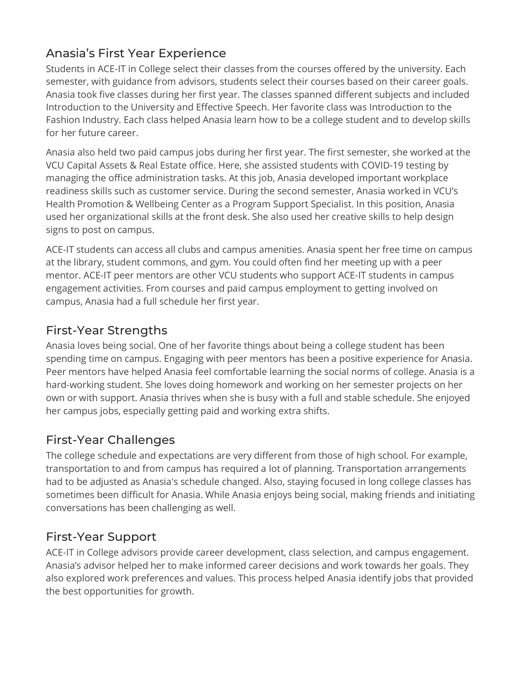## Anasia's First Year Experience

 Students in ACE-IT in College select their classes from the courses offered by the university. Each semester, with guidance from advisors, students select their courses based on their career goals. Anasia took five classes during her first year. The classes spanned different subjects and included Introduction to the University and Effective Speech. Her favorite class was Introduction to the Fashion Industry. Each class helped Anasia learn how to be a college student and to develop skills for her future career.

 Anasia also held two paid campus jobs during her first year. The first semester, she worked at the VCU Capital Assets & Real Estate office. Here, she assisted students with COVID-19 testing by managing the office administration tasks. At this job, Anasia developed important workplace readiness skills such as customer service. During the second semester, Anasia worked in VCU's Health Promotion & Wellbeing Center as a Program Support Specialist. In this position, Anasia used her organizational skills at the front desk. She also used her creative skills to help design signs to post on campus.

 ACE-IT students can access all clubs and campus amenities. Anasia spent her free time on campus at the library, student commons, and gym. You could often find her meeting up with a peer mentor. ACE-IT peer mentors are other VCU students who support ACE-IT students in campus engagement activities. From courses and paid campus employment to getting involved on campus, Anasia had a full schedule her first year.

### First-Year Strengths

 Anasia loves being social. One of her favorite things about being a college student has been spending time on campus. Engaging with peer mentors has been a positive experience for Anasia. Peer mentors have helped Anasia feel comfortable learning the social norms of college. Anasia is a hard-working student. She loves doing homework and working on her semester projects on her own or with support. Anasia thrives when she is busy with a full and stable schedule. She enjoyed her campus jobs, especially getting paid and working extra shifts.

## First-Year Challenges

 The college schedule and expectations are very different from those of high school. For example, transportation to and from campus has required a lot of planning. Transportation arrangements had to be adjusted as Anasia's schedule changed. Also, staying focused in long college classes has sometimes been difficult for Anasia. While Anasia enjoys being social, making friends and initiating conversations has been challenging as well.

## First-Year Support

 ACE-IT in College advisors provide career development, class selection, and campus engagement. Anasia's advisor helped her to make informed career decisions and work towards her goals. They also explored work preferences and values. This process helped Anasia identify jobs that provided the best opportunities for growth.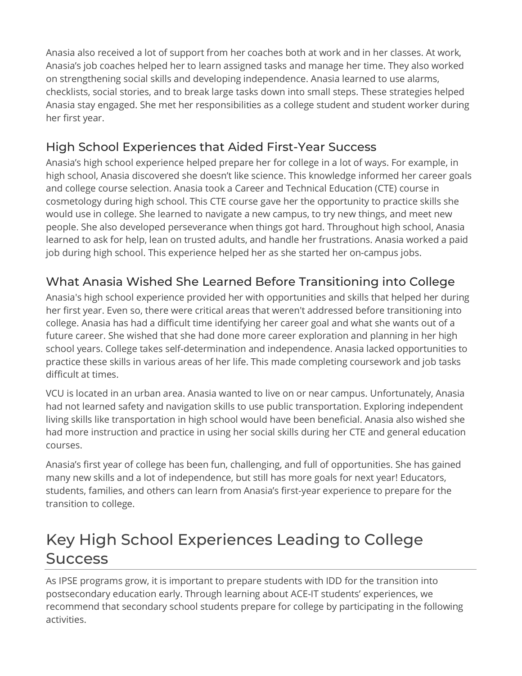Anasia also received a lot of support from her coaches both at work and in her classes. At work, Anasia's job coaches helped her to learn assigned tasks and manage her time. They also worked on strengthening social skills and developing independence. Anasia learned to use alarms, checklists, social stories, and to break large tasks down into small steps. These strategies helped Anasia stay engaged. She met her responsibilities as a college student and student worker during her first year.

## High School Experiences that Aided First-Year Success

 Anasia's high school experience helped prepare her for college in a lot of ways. For example, in high school, Anasia discovered she doesn't like science. This knowledge informed her career goals and college course selection. Anasia took a Career and Technical Education (CTE) course in cosmetology during high school. This CTE course gave her the opportunity to practice skills she would use in college. She learned to navigate a new campus, to try new things, and meet new people. She also developed perseverance when things got hard. Throughout high school, Anasia learned to ask for help, lean on trusted adults, and handle her frustrations. Anasia worked a paid job during high school. This experience helped her as she started her on-campus jobs.

## What Anasia Wished She Learned Before Transitioning into College

 Anasia's high school experience provided her with opportunities and skills that helped her during her first year. Even so, there were critical areas that weren't addressed before transitioning into college. Anasia has had a difficult time identifying her career goal and what she wants out of a future career. She wished that she had done more career exploration and planning in her high school years. College takes self-determination and independence. Anasia lacked opportunities to practice these skills in various areas of her life. This made completing coursework and job tasks difficult at times.

 VCU is located in an urban area. Anasia wanted to live on or near campus. Unfortunately, Anasia had not learned safety and navigation skills to use public transportation. Exploring independent living skills like transportation in high school would have been beneficial. Anasia also wished she had more instruction and practice in using her social skills during her CTE and general education courses.

 Anasia's first year of college has been fun, challenging, and full of opportunities. She has gained many new skills and a lot of independence, but still has more goals for next year! Educators, students, families, and others can learn from Anasia's first-year experience to prepare for the transition to college.

## Key High School Experiences Leading to College **Success**

 As IPSE programs grow, it is important to prepare students with IDD for the transition into postsecondary education early. Through learning about ACE-IT students' experiences, we recommend that secondary school students prepare for college by participating in the following activities.